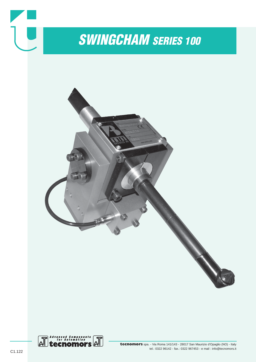

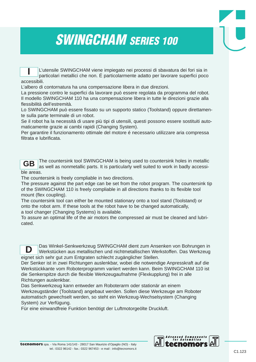## *SWINGCHAM SERIES 100*

L'utensile SWINGCHAM viene impiegato nei processi di sbavatura dei fori sia in particolari metallici che non. É particolarmente adatto per lavorare superfici poco accessibili. **I**

L'albero di contornatura ha una compensazione libera in due direzioni.

La pressione contro le superfici da lavorare può essere regolata da programma del robot. Il modello SWINGCHAM 110 ha una compensazione libera in tutte le direzioni grazie alla flessibilità dell'estremità.

Lo SWINGCHAM può essere fissato su un supporto statico (Toolstand) oppure direttamente sulla parte terminale di un robot.

Se il robot ha la necessità di usare più tipi di utensili, questi possono essere sostituiti automaticamente grazie ai cambi rapidi (Changing System).

Per garantire il funzionamento ottimale del motore é necessario utilizzare aria compressa filtrata e lubrificata.



**D**

The countersink tool SWINGCHAM is being used to countersink holes in metallic as well as nonmetallic parts. It is particularly well suited to work in badly accessible areas.

The countersink is freely compliable in two directions.

The pressure against the part edge can be set from the robot program. The countersink tip of the SWINGCHAM 110 is freely compliable in all directions thanks to its flexible tool mount (flex coupling).

The countersink tool can either be mounted stationary onto a tool stand (Toolstand) or onto the robot arm. If these tools at the robot have to be changed automatically,

a tool changer (Changing Systems) is available.

To assure an optimal life of the air motors the compressed air must be cleaned and lubricated.

Das Winkel-Senkwerkzeug SWINGCHAM dient zum Ansenken von Bohrungen in Werkstücken aus metallischen und nichtmetallischen Werkstoffen. Das Werkzeug eignet sich sehr gut zum Entgraten schlecht zugänglicher Stellen.

Der Senker ist in zwei Richtungen auslenkbar, wobei die notwendige Anpresskraft auf die Werkstückkante vom Roboterprogramm variiert werden kann. Beim SWINGCHAM 110 ist die Senkerspitze durch die flexible Werkzeugaufnahme (Flexkupplung) frei in alle Richtungen auslenkbar.

Das Senkwerkzeug kann entweder am Roboterarm oder stationär an einem Werkzeugständer (Toolstand) angebaut werden. Sollen diese Werkzeuge am Roboter automatisch gewechselt werden, so steht ein Werkzeug-Wechselsystem (Changing System) zur Verfügung.

Für eine einwandfreie Funktion benötigt der Luftmotorgeölte Druckluft.

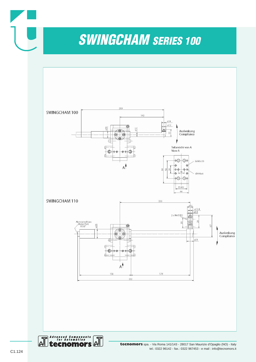*SWINGCHAM SERIES 100*